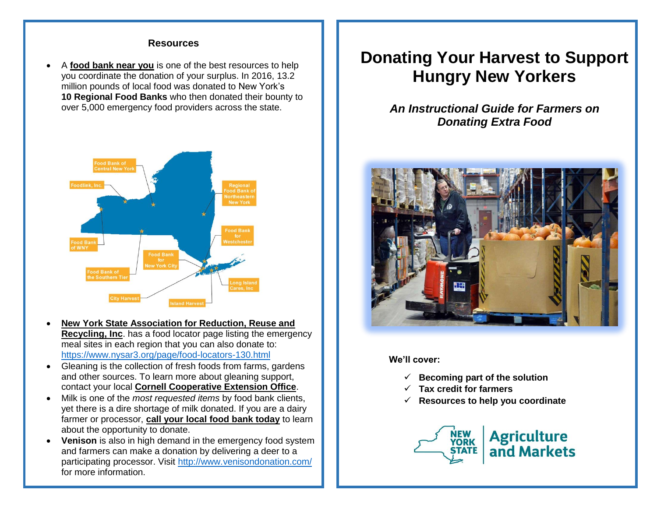#### **Resources**

 A **food bank near you** is one of the best resources to help you coordinate the donation of your surplus. In 2016, 13.2 million pounds of local food was donated to New York's **10 Regional Food Banks** who then donated their bounty to over 5,000 emergency food providers across the state.



- **New York State Association for Reduction, Reuse and Recycling, Inc.** has a food locator page listing the emergency meal sites in each region that you can also donate to: <https://www.nysar3.org/page/food-locators-130.html>
- Gleaning is the collection of fresh foods from farms, gardens and other sources. To learn more about gleaning support, contact your local **Cornell Cooperative Extension Office**.
- Milk is one of the *most requested items* by food bank clients, yet there is a dire shortage of milk donated. If you are a dairy farmer or processor, **call your local food bank today** to learn about the opportunity to donate.
- **Venison** is also in high demand in the emergency food system and farmers can make a donation by delivering a deer to a participating processor. Visit http://www.venisondonation.com/ for more information.

# **Donating Your Harvest to Support Hungry New Yorkers**

## *An Instructional Guide for Farmers on Donating Extra Food*



**We'll cover:**

- $\checkmark$  Becoming part of the solution
- **Tax credit for farmers**
- **Resources to help you coordinate**